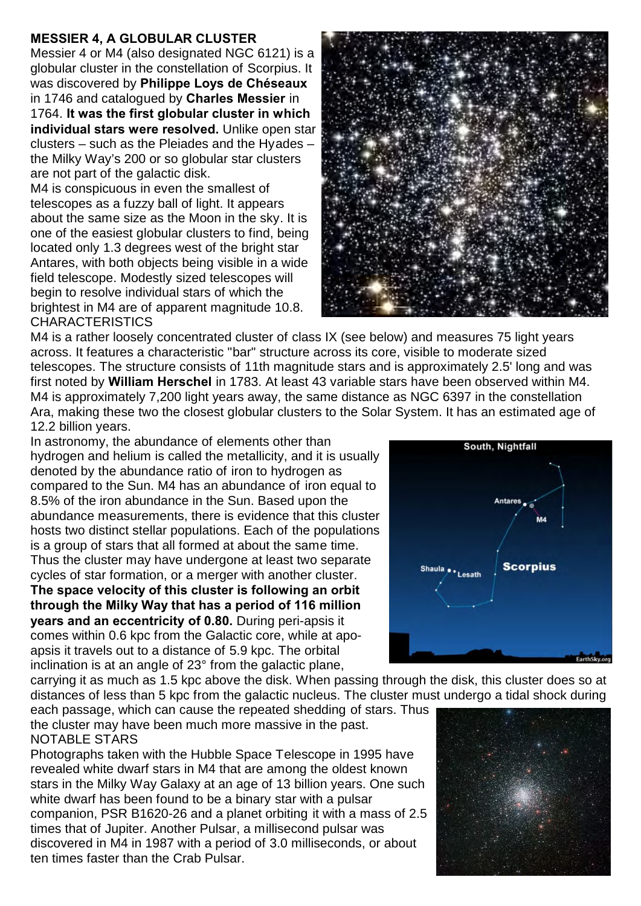## **MESSIER 4, A GLOBULAR CLUSTER**

Messier 4 or M4 (also designated NGC 6121) is a globular cluster in the constellation of Scorpius. It was discovered by **Philippe Loys de Chéseaux** in 1746 and catalogued by **Charles Messier** in 1764. **It was the first globular cluster in which individual stars were resolved.** Unlike open star clusters – such as the Pleiades and the Hyades – the Milky Way's 200 or so globular star clusters are not part of the galactic disk.

M4 is conspicuous in even the smallest of telescopes as a fuzzy ball of light. It appears about the same size as the Moon in the sky. It is one of the easiest globular clusters to find, being located only 1.3 degrees west of the bright star Antares, with both objects being visible in a wide field telescope. Modestly sized telescopes will begin to resolve individual stars of which the brightest in M4 are of apparent magnitude 10.8. CHARACTERISTICS



M4 is a rather loosely concentrated cluster of class IX (see below) and measures 75 light years across. It features a characteristic "bar" structure across its core, visible to moderate sized telescopes. The structure consists of 11th magnitude stars and is approximately 2.5' long and was first noted by **William Herschel** in 1783. At least 43 variable stars have been observed within M4. M4 is approximately 7,200 light years away, the same distance as NGC 6397 in the constellation Ara, making these two the closest globular clusters to the Solar System. It has an estimated age of 12.2 billion years.

In astronomy, the abundance of elements other than hydrogen and helium is called the metallicity, and it is usually denoted by the abundance ratio of iron to hydrogen as compared to the Sun. M4 has an abundance of iron equal to 8.5% of the iron abundance in the Sun. Based upon the abundance measurements, there is evidence that this cluster hosts two distinct stellar populations. Each of the populations is a group of stars that all formed at about the same time. Thus the cluster may have undergone at least two separate cycles of star formation, or a merger with another cluster.

**The space velocity of this cluster is following an orbit through the Milky Way that has a period of 116 million years and an eccentricity of 0.80.** During peri-apsis it comes within 0.6 kpc from the Galactic core, while at apoapsis it travels out to a distance of 5.9 kpc. The orbital inclination is at an angle of 23° from the galactic plane,

carrying it as much as 1.5 kpc above the disk. When passing through the disk, this cluster does so at distances of less than 5 kpc from the galactic nucleus. The cluster must undergo a tidal shock during

each passage, which can cause the repeated shedding of stars. Thus the cluster may have been much more massive in the past. NOTABLE STARS

Photographs taken with the Hubble Space Telescope in 1995 have revealed white dwarf stars in M4 that are among the oldest known stars in the Milky Way Galaxy at an age of 13 billion years. One such white dwarf has been found to be a binary star with a pulsar companion, PSR B1620-26 and a planet orbiting it with a mass of 2.5 times that of Jupiter. Another Pulsar, a millisecond pulsar was discovered in M4 in 1987 with a period of 3.0 milliseconds, or about ten times faster than the Crab Pulsar.